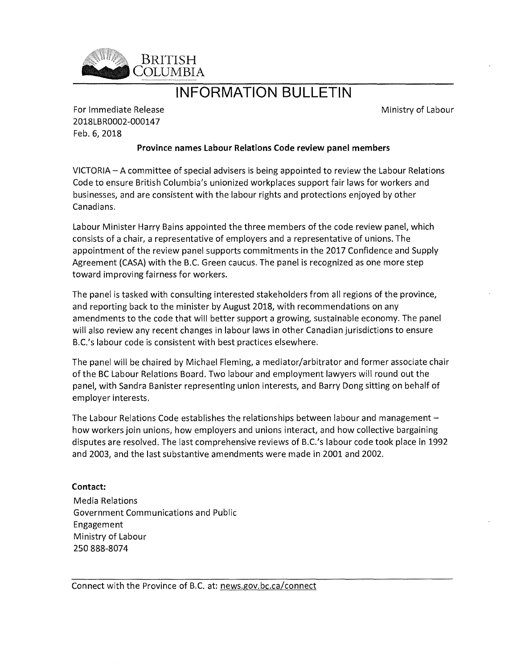

# INFORMATION BULLETIN

Ministry of Labour

For Immediate Release 2018LBR0002-000147 Feb. 6, 2018

### Province names Labour Relations Code review panel members

VICTORIA — A committee of special advisers is being appointed to review the Labour Relations Code to ensure British Columbia's unionized workplaces support fair laws for workers and businesses, and are consistent with the labour rights and protections enjoyed by other Canadians.

Labour Minister Harry Bains appointed the three members of the code review panel, which consists of a chair, a representative of employers and a representative of unions. The appointment of the review panel supports commitments in the 2017 Confidence and Supply Agreement (CASA) with the B.C. Green caucus. The panel is recognized as one more step toward improving fairness for workers.

The panel is tasked with consulting interested stakeholders from all regions of the province, and reporting back to the minister by August 2018, with recommendations on any amendments to the code that will better support a growing, sustainable economy. The panel will also review any recent changes in labour laws in other Canadian jurisdictions to ensure B.C.'s labour code is consistent with best practices elsewhere.

The panel will be chaired by Michael Fleming, a mediator/arbitrator and former associate chair of the BC Labour Relations Board. Two labour and employment lawyers will round out the panel, with Sandra Banister representing union interests, and Barry Dong sitting on behalf of employer interests.

The Labour Relations Code establishes the relationships between labour and management how workers join unions, how employers and unions interact, and how collective bargaining disputes are resolved. The last comprehensive reviews of B.C.'s labour code took place in 1992 and 2003, and the last substantive amendments were made in 2001 and 2002.

## Contact:

Media Relations Government Communications and Public Engagement Ministry of Labour 250 888-8074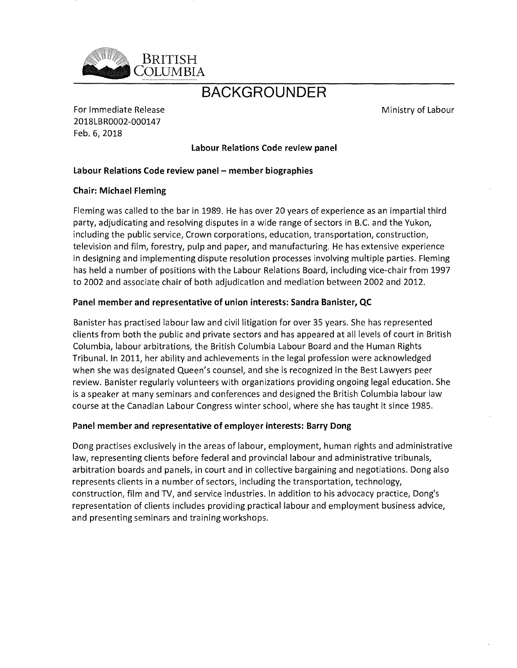

# BACKGROUNDER

For Immediate Release 2018LBR0002-000147 Feb. 6, 2018

Ministry of Labour

Labour Relations Code review panel

### Labour Relations Code review panel — member biographies

#### Chair: Michael Fleming

Fleming was called to the bar in 1989. He has over 20 years of experience as an impartial third party, adjudicating and resolving disputes in a wide range of sectors in B.C. and the Yukon, including the public service, Crown corporations, education, transportation, construction, television and film, forestry, pulp and paper, and manufacturing. He has extensive experience in designing and implementing dispute resolution processes involving multiple parties. Fleming has held a number of positions with the Labour Relations Board, including vice-chair from 1997 to 2002 and associate chair of both adjudication and mediation between 2002 and 2012.

### Panel member and representative of union interests: Sandra Banister, QC

Banister has practised labour law and civil litigation for over 35 years. She has represented clients from both the public and private sectors and has appeared at all levels of court in British Columbia, labour arbitrations, the British Columbia Labour Board and the Human Rights Tribunal. In 2011, her ability and achievements in the legal profession were acknowledged when she was designated Queen's counsel, and she is recognized in the Best Lawyers peer review. Banister regularly volunteers with organizations providing ongoing legal education. She is a speaker at many seminars and conferences and designed the British Columbia labour law course at the Canadian Labour Congress winter school, where she has taught it since 1985.

#### Panel member and representative of employer interests: Barry Dong

Dong practises exclusively in the areas of labour, employment, human rights and administrative law, representing clients before federal and provincial labour and administrative tribunals, arbitration boards and panels, in court and in collective bargaining and negotiations. Dong also represents clients in a number of sectors, including the transportation, technology, construction, film and TV, and service industries. In addition to his advocacy practice, Dong's representation of clients includes providing practical labour and employment business advice, and presenting seminars and training workshops.